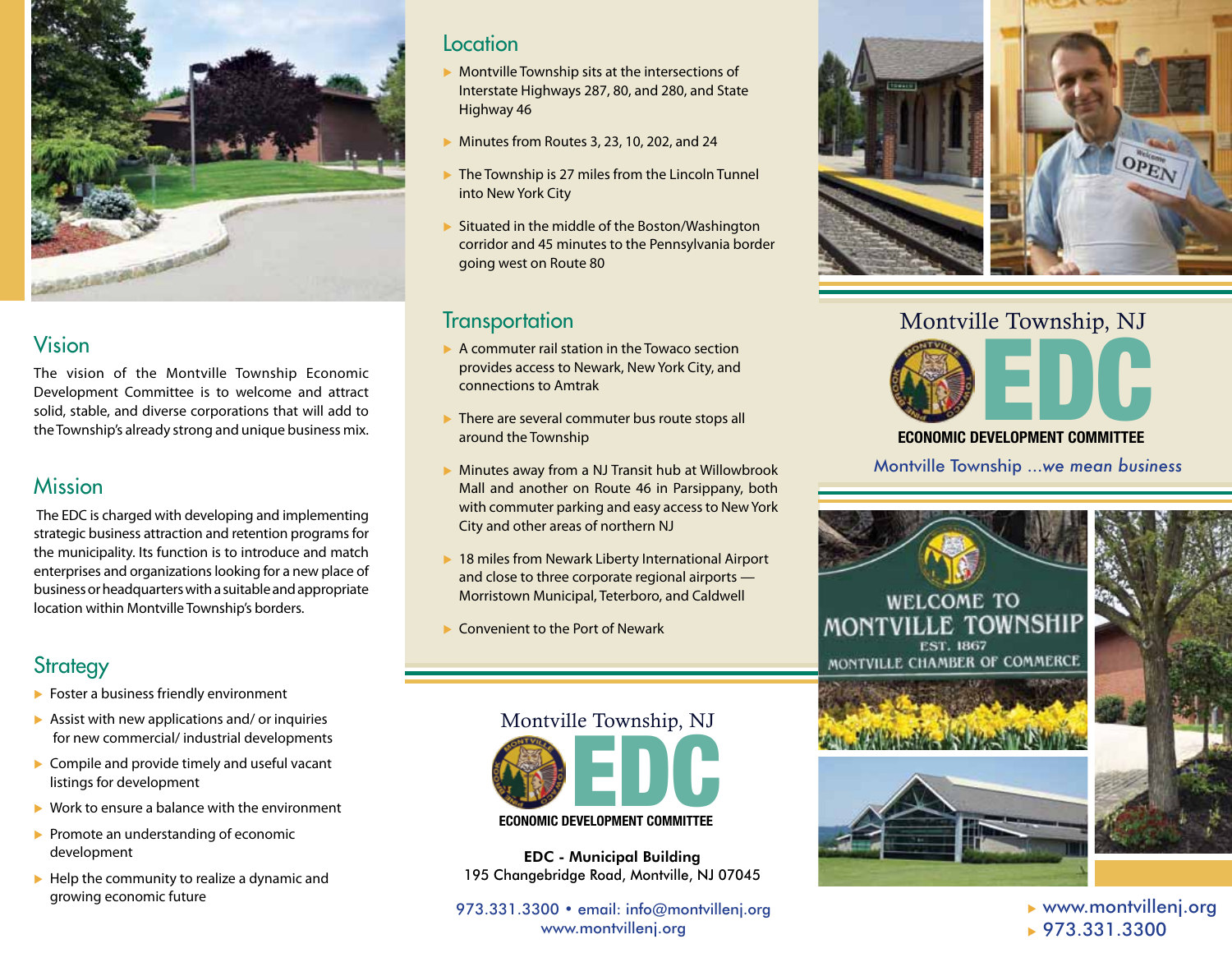

## Vision

The vision of the Montville Township Economic Development Committee is to welcome and attract solid, stable, and diverse corporations that will add to the Township's already strong and unique business mix.

## Mission

 The EDC is charged with developing and implementing strategic business attraction and retention programs for the municipality. Its function is to introduce and match enterprises and organizations looking for a new place of business or headquarters with a suitable and appropriate location within Montville Township's borders.

# **Strategy**

- $\blacktriangleright$  Foster a business friendly environment
- $\blacktriangleright$  Assist with new applications and/ or inquiries for new commercial/ industrial developments
- $\blacktriangleright$  Compile and provide timely and useful vacant listings for development
- $\triangleright$  Work to ensure a balance with the environment
- $\blacktriangleright$  Promote an understanding of economic development
- $\blacktriangleright$  Help the community to realize a dynamic and growing economic future

### Location

- $\triangleright$  Montville Township sits at the intersections of Interstate Highways 287, 80, and 280, and State Highway 46
- $\blacktriangleright$  Minutes from Routes 3, 23, 10, 202, and 24
- $\triangleright$  The Township is 27 miles from the Lincoln Tunnel into New York City
- $\triangleright$  Situated in the middle of the Boston/Washington corridor and 45 minutes to the Pennsylvania border going west on Route 80

## **Transportation**

- $\triangleright$  A commuter rail station in the Towaco section provides access to Newark, New York City, and connections to Amtrak
- $\triangleright$  There are several commuter bus route stops all around the Township
- $\triangleright$  Minutes away from a NJ Transit hub at Willowbrook Mall and another on Route 46 in Parsippany, both with commuter parking and easy access to New York City and other areas of northern NJ
- $\blacktriangleright$  18 miles from Newark Liberty International Airport and close to three corporate regional airports — Morristown Municipal, Teterboro, and Caldwell
- $\blacktriangleright$  Convenient to the Port of Newark



EDC - Municipal Building 195 Changebridge Road, Montville, NJ 07045

973.331.3300 • email: info@montvillenj.org www.montvillenj.org



Montville Township, NJ



Montville Township ...*we mean business*

**WELCOME TO** MONTVILLE TOWNSHIP **EST. 1867** MONTVILLE CHAMBER OF COMMERCE







 $\blacktriangleright$  www.montvillenj.org  $\bullet$  973.331.3300